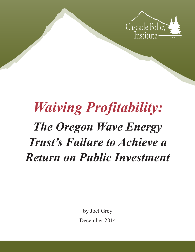

# *Waiving Profitability: The Oregon Wave Energy Trust's Failure to Achieve a Return on Public Investment*

by Joel Grey December 2014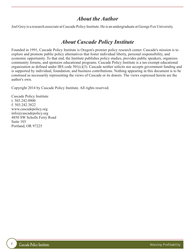#### *About the Author*

Joel Grey is a research associate at Cascade Policy Institute. He is an undergraduate at George Fox University.

### *About Cascade Policy Institute*

Founded in 1991, Cascade Policy Institute is Oregon's premier policy research center. Cascade's mission is to explore and promote public policy alternatives that foster individual liberty, personal responsibility, and economic opportunity. To that end, the Institute publishes policy studies, provides public speakers, organizes community forums, and sponsors educational programs. Cascade Policy Institute is a tax-exempt educational organization as defined under IRS code 501(c)(3). Cascade neither solicits nor accepts government funding and is supported by individual, foundation, and business contributions. Nothing appearing in this document is to be construed as necessarily representing the views of Cascade or its donors. The views expressed herein are the author's own.

Copyright 2014 by Cascade Policy Institute. All rights reserved.

Cascade Policy Institute t: 503.242.0900 f: 503.242.3822 www.cascadepolicy.org info@cascadepolicy.org 4850 SW Scholls Ferry Road Suite 103 Portland, OR 97225

*i*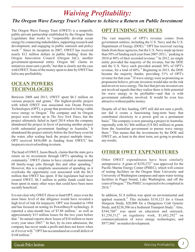## *Waiving Profitability: The Oregon Wave Energy Trust's Failure to Achieve a Return on Public Investment*

The Oregon Wave Energy Trust (OWET) is a nonprofit, public-private partnership established by the Oregon State Legislature that works to "responsibly develop ocean energy by connecting stakeholders, supporting research and development, and engaging in public outreach and policy work." Since its inception in 2007, OWET has received nearly \$12 million dollars in public funding<sup>2</sup> from the Oregon Innovation Council (Oregon InC), another government-sponsored entity. Oregon InC claims its initiatives must earn a profit, $3$  but that is clearly not the case with OWET. None of the money spent to date by OWET has led to any profitability.

#### **OCEAN POWERS TECHNOLOGIES**

Between 2008 and 2013, OWET spent \$6.3 million on various projects and grants.<sup>4</sup> The highest-profile project with which OWET was associated was Ocean Powers Technologies (OPT), a group that promised to bring viable wave energy to Oregon.<sup>5</sup> The company and its Oregon project were written up in *The New York Times*, but the project ultimately failed in April 2014 when the company abandoned the project in favor of pursuing another project (with substantial government funding) in Australia.<sup>6</sup> It abandoned the project entirely before the first buoy even hit the water, after scaling back the project multiple times.<sup>7</sup> OPT received  $$436,000$  in funding from OWET, $$$  but taxpayers received nothing in return.

The head of OWET, Jason Busch, claims that the state got a return on its investment through OPT's spending in the community.<sup>9</sup> OWET claims to have created or maintained 60 family-wage jobs through this and other spending.<sup>10</sup> However, this is a simplistic assessment of spending, as it overlooks the opportunity cost associated with the \$6.3 million that OWET has spent. If the legislature had never created OWET, \$6.3 million in public funds could have been spent in many other ways that could have been more socially beneficial.

It is not clear why OWET chose to fund OPT, since even the most basic level of due diligence would have revealed a high level of risk for taxpayers. OPT was founded in 1994 and has focused on testing its PowerBuoy® technology. It reported a nine-month loss of \$7.88 million,<sup>11</sup> as well as approximately \$15 million losses for the two years before that. $^{12}$  Its annual reports show losses of \$10 million or more every year since 2007.<sup>13</sup> In fact, by its own admission, the company has never made a profit and does not know when or if it ever will.<sup>14</sup> OPT has accumulated an overall deficit of  $$148$  million<sup>15</sup>

#### **OPT FUNDING SOURCES**

The vast majority of OPT's revenue comes from government entities, including the U.S. Navy and the U.S. Department of Energy (DOE).<sup>16</sup> OPT has received varying funds from these agencies; but the U.S. Navy made up more than 50% of funding each year from 2007-2011, $\frac{17}{12}$  peaking in 2010 at 80% of their recorded revenue.<sup>18</sup> In 2012, no single entity provided the majority of the revenue, but the DOE and the U.S. Navy each provided around 30% of OPT's revenue, for a total of  $60\%$ .<sup>19</sup> Beginning in 2013, the DOE became the majority funder, providing 51% of OPT's revenue for that year.<sup>20</sup> If wave energy were as promising as proponents believe, private investors would take on the risk and invest in wave energy. The fact that private investors are not involved signals that they realize there is little potential for wave energy to be profitable―and that is with government subsidies involved. It would be even less attractive without public money.

Despite all of this funding, OPT still did not earn a profit, nor did it create a functioning long-term buoy that contributed electricity to a power grid on a permanent basis.<sup>21</sup> The company is now pursuing a project in Australia, reportedly with AU \$66 million (US \$62 million) in grants from the Australian government to pursue wave energy there. $22$  This means that the investments by the DOE and OWET are, at least in the short term, not going to produce any results.

#### **OTHER OWET EXPENDITURES**

Other OWET expenditures have been similarly unimpressive. A grant of  $$239,272^{23}$  was approved for the Pacific Marine Energy Center (PMEC), which will consist of testing facilities on the Oregon State University and University of Washington campuses and open water testing facilities in Puget Sound, Lake Washington, and off the coast of Oregon.<sup>24</sup> The PMEC is expected to be completed in  $2016.<sup>25</sup>$ 

In addition, \$1.8 million was spent on environmental and applied research.<sup>26</sup> This includes  $$110,123$  for a Green Sturgeon Study, \$20,000 for a Dungeness Crab Genetic Study, and  $$236,506$  on a Sediment Transport Study.<sup>27</sup> Also,  $$344,760^{28}$$  was spent on education and outreach,  $$1,250,512^{29}$  on regulatory work,  $$1,682,292^{30}$  on commercialization of wave energy technologies, and  $$977,866<sup>31</sup>$  on market development.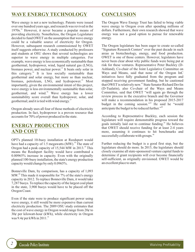#### **WAVE ENERGY TECHNOLOGY CONCLUSION**

Wave energy is not a new technology. Patents were issued over one hundred years ago, and research was revived in the  $1970s$ .<sup>32</sup> However, it never became a popular means of providing electricity. Nonetheless, the Oregon Legislature decided to fund OWET on the assumption that wave energy could be a valuable source of electricity for Oregon. However, subsequent research commissioned by OWET itself suggests otherwise. A study conducted by professors and students at OSU shows that several technologies are superior to wave energy in multiple categories. For example, wave energy is less economically sustainable than geothermal, hydropower, wind, liquid natural gas (LNG), biomass power, and nuclear power.<sup>33</sup> It beats only solar in this category.<sup>34</sup> It is less socially sustainable than geothermal and solar energy, but more so than nuclear, biomass, petroleum, LNG, and hydropower.<sup>35</sup> Most importantly, given the environmental intent of this project, wave energy is less environmentally sustainable than solar, geothermal, and wind.<sup>36</sup> Wave energy has a lower sustainability score overall than hydropower, solar, and geothermal; and it is tied with wind energy.<sup>37</sup>

Oregon already uses all four of those methods of electricity production. In fact, hydropower is a proven resource that accounts for 70% of power produced in the state.

#### **ENERGY PRODUCTION AND COST**

OPT's planned 10-buoy installation at Reedsport would have had a capacity of 1.5 megawatts (MW).<sup>38</sup> The state of Oregon had a peak capacity of  $15,544$  MW in  $2013.^{39}$  This means the Reedsport facility would have contributed a 0.00965% increase in capacity. Even with the originally planned 100-buoy installation, the state's energy production capacity would change by only 0.0965%.

Bonneville Dam, by comparison, has a capacity of 1,093 MW.<sup>40</sup> This made it responsible for  $7\%$  of the state's energy capacity in 2012. To replace Bonneville Dam, it would take 7,287 buoys. To replace the capacity of the largest coal plant in the state, 3,900 buoys would have to be placed off the Oregon Coast.

Even if the state were to produce significant power using wave energy, it still would be more expensive than current electricity production. The 2009 OSU study estimates that the cost of wave energy in Oregon would range from  $20¢$  to  $30¢$  per kilowatt-hour (kWh), while electricity in Oregon was 9.4¢ per kWh in 2011.<sup>41</sup>

The Oregon Wave Energy Trust has failed to bring viable wave energy to Oregon even after spending millions of dollars. Furthermore, their own research showed that wave energy was not a good option to pursue for renewable energy.

The Oregon legislature has been eager to create so-called "Signature Research Centers" over the past decade in such areas as biotechnology, energy, and food production. OWET is one of those centers. However, legislators have never been clear about why public funds were being put at risk for these ventures. Representative Peter Buckley (D-Ashland), Co-chair of the Joint Legislative Committee on Ways and Means, said that none of the Oregon InC initiatives have fully graduated from the program and stopped receiving government funding, but he cautioned that OWET is relatively new.<sup>42</sup> State Senator Richard Devlin (D-Tualatin), also Co-chair of the Ways and Means Committee, said that OWET "will again go through the review process in the executive branch and the Governor will make a recommendation in his proposed 2015-2017 budget in the coming session."<sup>43</sup> He said he "would anticipate the budget to be reduced further."<sup>44</sup>

According to Representative Buckley, each session the legislature will require demonstrable progress toward the goals initially laid out to continue funding.<sup>45</sup> He believes that OWET should receive funding for at least 2-4 years more, assuming it continues to hit benchmarks and successfully collaborate with groups.<sup>46</sup>

Further reducing the budget is a good first step, but the legislature should do more. In 2015, the legislature should closely examine all state-sponsored venture capital funds to determine if grant recipients will ever become financially self-sufficient, as originally envisioned. OWET would be an excellent place to start.

*2*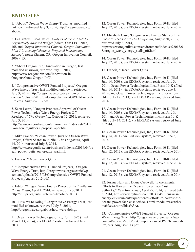#### **ENDNOTES**

1. "About," Oregon Wave Energy Trust, last modified unknown, retrieved July 3, 2014, http://oregonwave.org/ about/.

2. Legislative Fiscal Office, *Analysis of the 2013-2015 Legislatively Adopted Budget* (Salem, OR: LFO, 2013), 168 and *Oregon Innovation Council, Oregon Innovation Plan 2.0: Accomplishments, Proposed Investments, Strategic Intent* (Salem, OR: Oregon Innovation Council, 2009), 15.

3. "About Oregon InC," Innovation in Oregon, last modified unknown, retrieved July 3, 2014, http://www.oregon4biz.com/Innovation-in-Oregon/About-Oregon-InC/.

4. "Comprehensive OWET Funded Projects," Oregon Wave Energy Trust, last modified unknown, retrieved July 3, 2014, http://oregonwave.org/oceanic/wpcontent/uploads/2013/05/Comprehensive-OWET-Funded-Projects\_August-2013.pdf.

5. Scott Learn, "Oregon Proposes Approval of Ocean Power Technologies' Wave Energy Project Off Reedsport," *The Oregonian*, October 12, 2011, retrieved July 3, 2014,

http://www.oregonlive.com/environment/index.ssf/2011/1 0/oregon\_regulators\_propose\_appr.html.

6. Mike Francis, "Ocean Power Quits on Oregon Wave Project, Offers Shares to Public," *The Oregonian*, April 14, 2014, retrieved July 3, 2014,

http://www.oregonlive.com/business/index.ssf/2014/04/oc ean power quits on oregon wa.html.

7. Francis, "Ocean Power Quits."

8. "Comprehensive OWET Funded Projects," Oregon Wave Energy Trust, http://oregonwave.org/oceanic/wpcontent/uploads/2013/05/Comprehensive-OWET-Funded-Projects\_August-2013.pdf.

9. Editor, "Oregon Wave Energy Project Sinks," *Jefferson Public Radio*, April 4, 2014, retrieved July 3, 2014, http://m.ijpr.org/?utm\_referrer=#mobile/10303.

10. "How We're Doing," Oregon Wave Energy Trust, last modified unknown, retrieved July 3, 2014, http://oregonwave.org/about/how-were-doing/.

11. Ocean Power Technologies, Inc., Form 10-Q (filed March 13, 2014), via EDGAR system, retrieved June 2014.

12. Ocean Power Technologies, Inc., Form 10-K (filed July 12, 2013), via EDGAR system, retrieved June 2014.

13. Elizabeth Case, "Oregon Wave Energy Stalls off the Coast of Reedsport," *The Oregonian*, August 30, 2013, retrieved July 3, 2014, http://www.oregonlive.com/environment/index.ssf/2013/0 8/oregon\_wave\_energy\_stalls\_off.html

14. Ocean Power Technologies, Inc., Form 10-K (filed July 12, 2013), via EDGAR system, retrieved June 2014.

15. Francis, "Ocean Power Quits."

16. Ocean Power Technologies, Inc., Form 10-K (filed July 14, 2008), via EDGAR system, retrieved July 3, 2014; Ocean Power Technologies, Inc., Form 10-K (filed July 14, 2011), via EDGAR system, retrieved June 3, 2014; and Ocean Power Technologies, Inc., Form 10-K (filed July 12, 2013), via EDGAR system, retrieved June 2014.

17. Ocean Power Technologies, Inc., Form 10-K (filed July 14, 2008), via EDGAR system, retrieved July 3, 2014 and Ocean Power Technologies, Inc., Form 10-K (filed July 14, 2011), via EDGAR system, retrieved June 3, 2014.

18. Ocean Power Technologies, Inc., Form 10-K (filed July 14, 2011), via EDGAR system, retrieved June 3, 2014.

19. Ocean Power Technologies, Inc., Form 10-K (filed July 12, 2013), via EDGAR system, retrieved June 2014.

20. Ocean Power Technologies, Inc., Form 10-K (filed July 12, 2013), via EDGAR system, retrieved June 2014.

21. Ocean Power Technologies, Inc., Form 10-K (filed July 12, 2013), via EDGAR system, retrieved June 2014.

22. Joshua Hunt and Diane Cardwell, "Experimental Efforts to Harvest the Ocean's Power Face Cost Setbacks," *New York Times*, April 27, 2014, retrieved July 3, 2014, http://www.nytimes.com/2014/04/28/business/ energy-environment/experimental-efforts-to-harvest-theoceans-power-face-cost-setbacks.html?module=Search& mabReward=relbias%3Ar.

23. "Comprehensive OWET Funded Projects," Oregon Wave Energy Trust, http://oregonwave.org/oceanic/wpcontent/uploads/2013/05/Comprehensive-OWET-Funded-Projects\_August-2013.pdf.